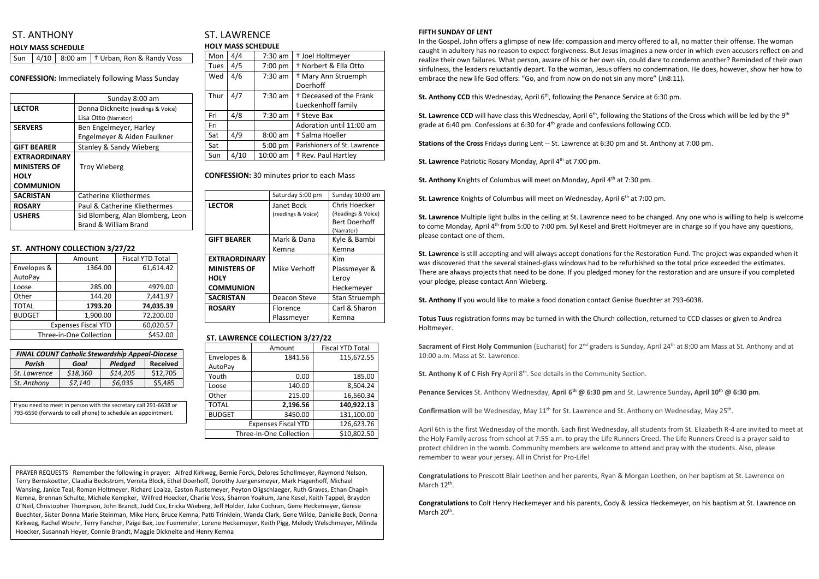## ST. ANTHONY

|  | <b>HOLY MASS SCHEDULE</b> |  |
|--|---------------------------|--|
|  |                           |  |

|  | Sun   4/10   8:00 am   $\dagger$ Urban, Ron & Randy Voss |
|--|----------------------------------------------------------|
|--|----------------------------------------------------------|

**CONFESSION:** Immediately following Mass Sunday

|                      | Sunday 8:00 am                     |  |  |
|----------------------|------------------------------------|--|--|
| <b>LECTOR</b>        | Donna Dickneite (readings & Voice) |  |  |
|                      | Lisa Otto (Narrator)               |  |  |
| <b>SERVERS</b>       | Ben Engelmeyer, Harley             |  |  |
|                      | Engelmeyer & Aiden Faulkner        |  |  |
| <b>GIFT BEARER</b>   | <b>Stanley &amp; Sandy Wieberg</b> |  |  |
| <b>EXTRAORDINARY</b> |                                    |  |  |
| <b>MINISTERS OF</b>  | <b>Troy Wieberg</b>                |  |  |
| <b>HOLY</b>          |                                    |  |  |
| <b>COMMUNION</b>     |                                    |  |  |
| <b>SACRISTAN</b>     | <b>Catherine Kliethermes</b>       |  |  |
| <b>ROSARY</b>        | Paul & Catherine Kliethermes       |  |  |
| <b>USHERS</b>        | Sid Blomberg, Alan Blomberg, Leon  |  |  |
|                      | Brand & William Brand              |  |  |

### **ST. ANTHONY COLLECTION 3/27/22**

|                            | Amount    | <b>Fiscal YTD Total</b> |  |
|----------------------------|-----------|-------------------------|--|
| Envelopes &                | 1364.00   | 61,614.42               |  |
| AutoPay                    |           |                         |  |
| Loose                      | 285.00    | 4979.00                 |  |
| Other                      | 144.20    | 7,441.97                |  |
| <b>TOTAL</b><br>1793.20    |           | 74,035.39               |  |
| 1,900.00<br><b>BUDGET</b>  |           | 72,200.00               |  |
| <b>Expenses Fiscal YTD</b> | 60,020.57 |                         |  |
| Three-in-One Collection    | \$452.00  |                         |  |

## ST. LAWRENCE **HOLY MASS SCHEDULE**

| Mon         | 4/4  | $7:30$ am | <sup>†</sup> Joel Holtmeyer        |  |  |
|-------------|------|-----------|------------------------------------|--|--|
| <b>Tues</b> | 4/5  | 7:00 pm   | <sup>†</sup> Norbert & Ella Otto   |  |  |
| Wed         | 4/6  | $7:30$ am | <sup>†</sup> Mary Ann Struemph     |  |  |
|             |      |           | Doerhoff                           |  |  |
| Thur        | 4/7  | $7:30$ am | <sup>†</sup> Deceased of the Frank |  |  |
|             |      |           | Lueckenhoff family                 |  |  |
| Fri         | 4/8  | $7:30$ am | <sup>†</sup> Steve Bax             |  |  |
| Fri         |      |           | Adoration until 11:00 am           |  |  |
| Sat         | 4/9  | $8:00$ am | † Salma Hoeller                    |  |  |
| Sat         |      | 5:00 pm   | Parishioners of St. Lawrence       |  |  |
| Sun         | 4/10 | 10:00 am  | <sup>†</sup> Rev. Paul Hartley     |  |  |

**CONFESSION:** 30 minutes prior to each Mass

|                      | Saturday 5:00 pm   | Sunday 10:00 am      |
|----------------------|--------------------|----------------------|
| <b>LECTOR</b>        | Janet Beck         | Chris Hoecker        |
|                      | (readings & Voice) | (Readings & Voice)   |
|                      |                    | <b>Bert Doerhoff</b> |
|                      |                    | (Narrator)           |
| <b>GIFT BEARER</b>   | Mark & Dana        | Kyle & Bambi         |
|                      | Kemna              | Kemna                |
| <b>EXTRAORDINARY</b> |                    | Kim                  |
| <b>MINISTERS OF</b>  | Mike Verhoff       | Plassmeyer &         |
| <b>HOLY</b>          |                    | Leroy                |
| <b>COMMUNION</b>     |                    | Heckemeyer           |
| <b>SACRISTAN</b>     | Deacon Steve       | Stan Struemph        |
| <b>ROSARY</b>        | <b>Florence</b>    | Carl & Sharon        |
|                      | Plassmeyer         | Kemna                |

### **ST. LAWRENCE COLLECTION 3/27/22**

|                          | Amount                     | <b>Fiscal YTD Total</b> |  |
|--------------------------|----------------------------|-------------------------|--|
| Envelopes &              | 1841.56                    | 115,672.55              |  |
| AutoPay                  |                            |                         |  |
| Youth                    | 0.00                       | 185.00                  |  |
| Loose                    | 140.00                     | 8,504.24                |  |
| Other<br>215.00          |                            | 16,560.34               |  |
| <b>TOTAL</b><br>2,196.56 |                            | 140,922.13              |  |
| <b>BUDGET</b>            | 3450.00                    | 131,100.00              |  |
|                          | <b>Expenses Fiscal YTD</b> | 126,623.76              |  |
|                          | Three-In-One Collection    | \$10,802.50             |  |

#### **FIFTH SUNDAY OF LENT**

**Sacrament of First Holy Communion** (Eucharist) for 2<sup>nd</sup> graders is Sunday, April 24<sup>th</sup> at 8:00 am Mass at St. Anthony and at 10:00 a.m. Mass at St. Lawrence.

In the Gospel, John offers a glimpse of new life: compassion and mercy offered to all, no matter their offense. The woman caught in adultery has no reason to expect forgiveness. But Jesus imagines a new order in which even accusers reflect on and realize their own failures. What person, aware of his or her own sin, could dare to condemn another? Reminded of their own sinfulness, the leaders reluctantly depart. To the woman, Jesus offers no condemnation. He does, however, show her how to embrace the new life God offers: "Go, and from now on do not sin any more" (Jn8:11).

St. Anthony CCD this Wednesday, April 6<sup>th</sup>, following the Penance Service at 6:30 pm.

St. Lawrence CCD will have class this Wednesday, April 6<sup>th</sup>, following the Stations of the Cross which will be led by the 9<sup>th</sup> grade at 6:40 pm. Confessions at 6:30 for 4<sup>th</sup> grade and confessions following CCD.

**Congratulations** to Prescott Blair Loethen and her parents, Ryan & Morgan Loethen, on her baptism at St. Lawrence on March 12<sup>th</sup>.

**Congratulations** to Colt Henry Heckemeyer and his parents, Cody & Jessica Heckemeyer, on his baptism at St. Lawrence on March 20<sup>th</sup>.

**Stations of the Cross** Fridays during Lent -- St. Lawrence at 6:30 pm and St. Anthony at 7:00 pm.

**St. Lawrence** Patriotic Rosary Monday, April 4<sup>th</sup> at 7:00 pm.

**St. Anthony** Knights of Columbus will meet on Monday, April 4<sup>th</sup> at 7:30 pm.

**St. Lawrence** Knights of Columbus will meet on Wednesday, April 6<sup>th</sup> at 7:00 pm.

**St. Lawrence** Multiple light bulbs in the ceiling at St. Lawrence need to be changed. Any one who is willing to help is welcome to come Monday, April 4<sup>th</sup> from 5:00 to 7:00 pm. Syl Kesel and Brett Holtmeyer are in charge so if you have any questions, please contact one of them.

**St. Lawrence** is still accepting and will always accept donations for the Restoration Fund. The project was expanded when it was discovered that the several stained-glass windows had to be refurbished so the total price exceeded the estimates. There are always projects that need to be done. If you pledged money for the restoration and are unsure if you completed your pledge, please contact Ann Wieberg.

**St. Anthony** If you would like to make a food donation contact Genise Buechter at 793-6038.

**Totus Tuus** registration forms may be turned in with the Church collection, returned to CCD classes or given to Andrea Holtmeyer.

**St. Anthony K of C Fish Fry** April 8 th . See details in the Community Section.

**Penance Services** St. Anthony Wednesday, April 6<sup>th</sup> @ 6:30 pm and St. Lawrence Sunday, April 10<sup>th</sup> @ 6:30 pm.

Confirmation will be Wednesday, May 11<sup>th</sup> for St. Lawrence and St. Anthony on Wednesday, May 25<sup>th</sup>.

April 6th is the first Wednesday of the month. Each first Wednesday, all students from St. Elizabeth R-4 are invited to meet at the Holy Family across from school at 7:55 a.m. to pray the Life Runners Creed. The Life Runners Creed is a prayer said to protect children in the womb. Community members are welcome to attend and pray with the students. Also, please remember to wear your jersey. All in Christ for Pro-Life!

| <b>FINAL COUNT Catholic Stewardship Appeal-Diocese</b> |          |          |          |  |  |  |
|--------------------------------------------------------|----------|----------|----------|--|--|--|
| Pledged<br><b>Received</b><br>Parish<br>Goal           |          |          |          |  |  |  |
| St. Lawrence                                           | \$18,360 | \$14,205 | \$12,705 |  |  |  |
| St. Anthony                                            | \$7,140  | \$6,035  | \$5,485  |  |  |  |

If you need to meet in person with the secretary call 291-6638 or 793-6550 (forwards to cell phone) to schedule an appointment.

PRAYER REQUESTS Remember the following in prayer: Alfred Kirkweg, Bernie Forck, Delores Schollmeyer, Raymond Nelson, Terry Bernskoetter, Claudia Beckstrom, Vernita Block, Ethel Doerhoff, Dorothy Juergensmeyer, Mark Hagenhoff, Michael Wansing, Janice Teal, Roman Holtmeyer, Richard Loaiza, Easton Rustemeyer, Peyton Oligschlaeger, Ruth Graves, Ethan Chapin Kemna, Brennan Schulte, Michele Kempker, Wilfred Hoecker, Charlie Voss, Sharron Yoakum, Jane Kesel, Keith Tappel, Braydon O'Neil, Christopher Thompson, John Brandt, Judd Cox, Ericka Wieberg, Jeff Holder, Jake Cochran, Gene Heckemeyer, Genise Buechter, Sister Donna Marie Steinman, Mike Herx, Bruce Kemna, Patti Trinklein, Wanda Clark, Gene Wilde, Danielle Beck, Donna Kirkweg, Rachel Woehr, Terry Fancher, Paige Bax, Joe Fuemmeler, Lorene Heckemeyer, Keith Pigg, Melody Welschmeyer, Milinda Hoecker, Susannah Heyer, Connie Brandt, Maggie Dickneite and Henry Kemna